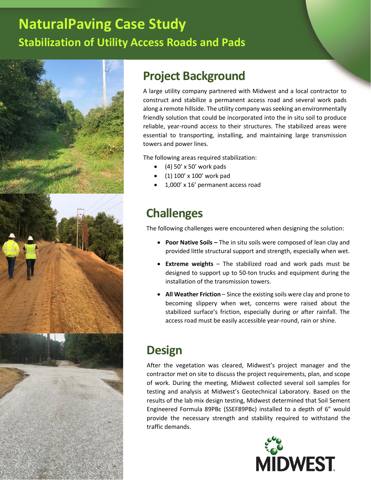# **NaturalPaving Case Study Stabilization of Utility Access Roads and Pads**



## **Project Background**

A large utility company partnered with Midwest and a local contractor to construct and stabilize a permanent access road and several work pads along a remote hillside. The utility company was seeking an environmentally friendly solution that could be incorporated into the in situ soil to produce reliable, year-round access to their structures. The stabilized areas were essential to transporting, installing, and maintaining large transmission towers and power lines.

The following areas required stabilization:

- $\bullet$  (4) 50' x 50' work pads
- (1) 100' x 100' work pad
- 1,000' x 16' permanent access road

## **Challenges**

The following challenges were encountered when designing the solution:

- **Poor Native Soils –** The in situ soils were composed of lean clay and provided little structural support and strength, especially when wet.
- **Extreme weights** The stabilized road and work pads must be designed to support up to 50-ton trucks and equipment during the installation of the transmission towers.
- **All Weather Friction** Since the existing soils were clay and prone to becoming slippery when wet, concerns were raised about the stabilized surface's friction, especially during or after rainfall. The access road must be easily accessible year-round, rain or shine.

## **Design**

After the vegetation was cleared, Midwest's project manager and the contractor met on site to discuss the project requirements, plan, and scope of work. During the meeting, Midwest collected several soil samples for testing and analysis at Midwest's Geotechnical Laboratory. Based on the results of the lab mix design testing, Midwest determined that Soil Sement Engineered Formula 89PBc (SSEF89PBc) installed to a depth of 6" would provide the necessary strength and stability required to withstand the traffic demands.